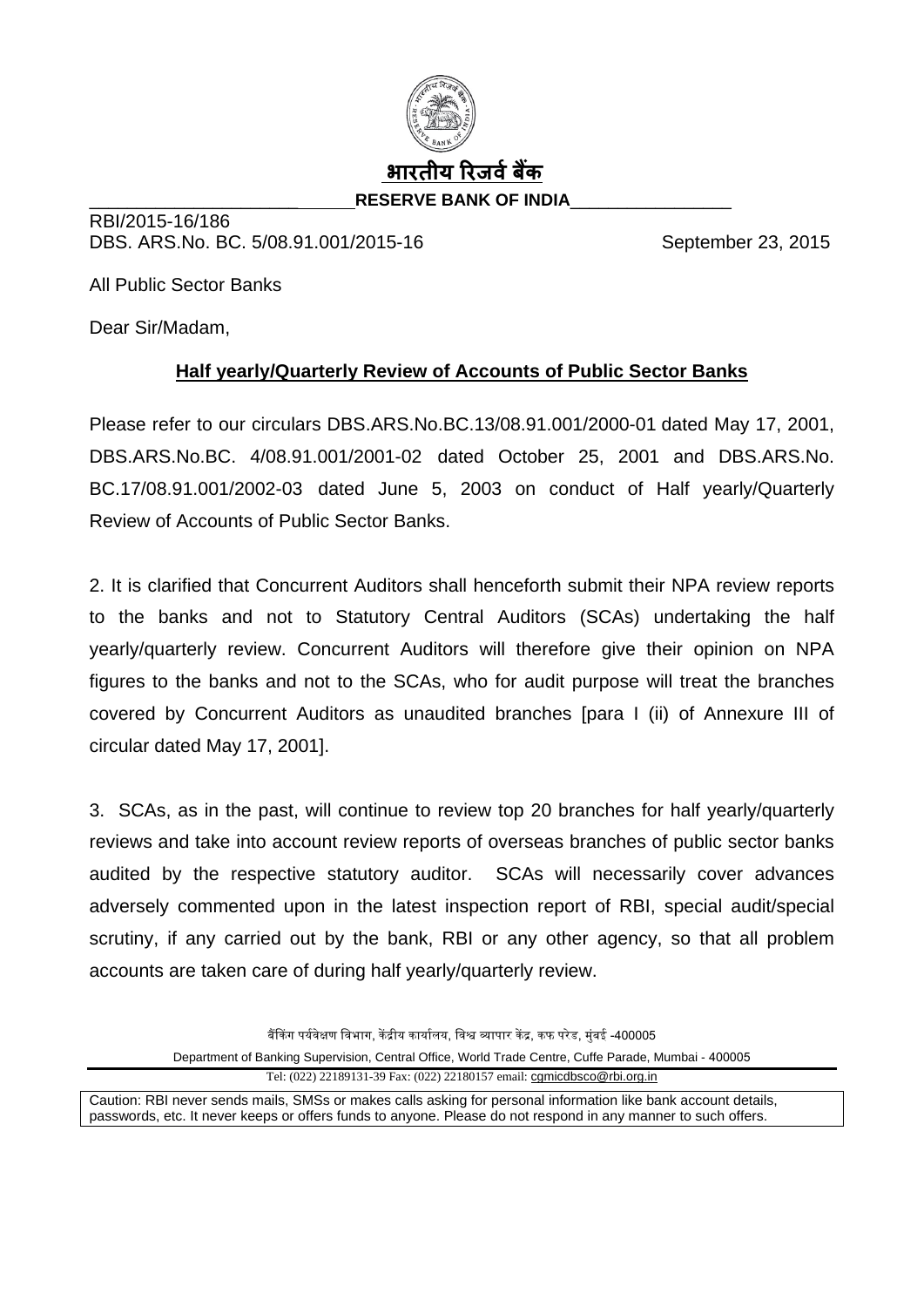

RBI/2015-16/186 DBS. ARS.No. BC. 5/08.91.001/2015-16 September 23, 2015

All Public Sector Banks

Dear Sir/Madam,

## **Half yearly/Quarterly Review of Accounts of Public Sector Banks**

Please refer to our circulars DBS.ARS.No.BC.13/08.91.001/2000-01 dated May 17, 2001, DBS.ARS.No.BC. 4/08.91.001/2001-02 dated October 25, 2001 and DBS.ARS.No. BC.17/08.91.001/2002-03 dated June 5, 2003 on conduct of Half yearly/Quarterly Review of Accounts of Public Sector Banks.

2. It is clarified that Concurrent Auditors shall henceforth submit their NPA review reports to the banks and not to Statutory Central Auditors (SCAs) undertaking the half yearly/quarterly review. Concurrent Auditors will therefore give their opinion on NPA figures to the banks and not to the SCAs, who for audit purpose will treat the branches covered by Concurrent Auditors as unaudited branches [para I (ii) of Annexure III of circular dated May 17, 2001].

3. SCAs, as in the past, will continue to review top 20 branches for half yearly/quarterly reviews and take into account review reports of overseas branches of public sector banks audited by the respective statutory auditor. SCAs will necessarily cover advances adversely commented upon in the latest inspection report of RBI, special audit/special scrutiny, if any carried out by the bank, RBI or any other agency, so that all problem accounts are taken care of during half yearly/quarterly review.

बैंकिंग पर्यवेक्षण विभाग, केंद्रीय कार्यालय, विश्व व्यापार केंद्र, कफ परेड, मुंबई -400005

Department of Banking Supervision, Central Office, World Trade Centre, Cuffe Parade, Mumbai - 400005

Tel: (022) 22189131-39 Fax: (022) 22180157 email: [cgmicdbsco@rbi.org.in](mailto:cgmicdbsco@rbi.org.in)

Caution: RBI never sends mails, SMSs or makes calls asking for personal information like bank account details, passwords, etc. It never keeps or offers funds to anyone. Please do not respond in any manner to such offers.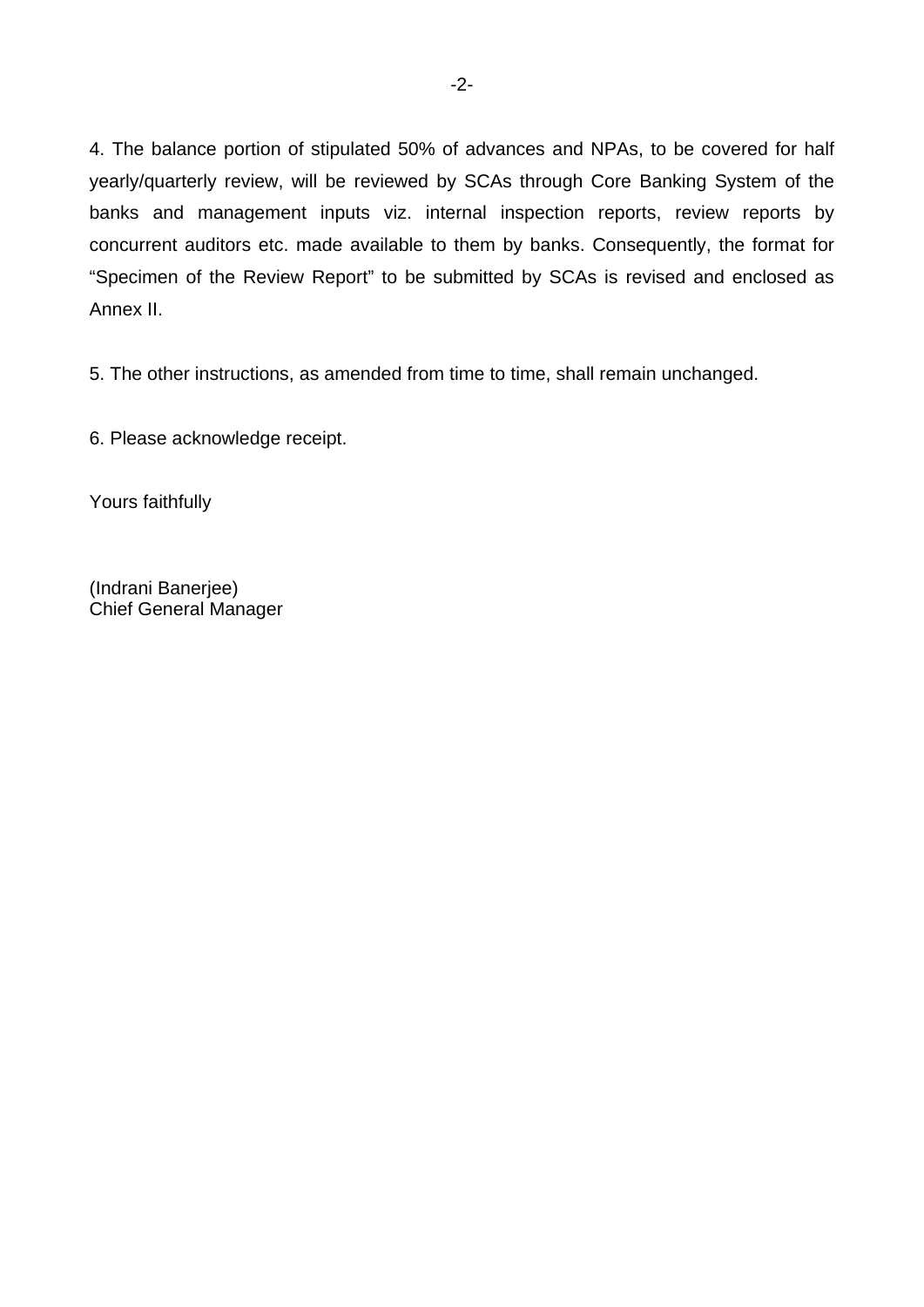4. The balance portion of stipulated 50% of advances and NPAs, to be covered for half yearly/quarterly review, will be reviewed by SCAs through Core Banking System of the banks and management inputs viz. internal inspection reports, review reports by concurrent auditors etc. made available to them by banks. Consequently, the format for "Specimen of the Review Report" to be submitted by SCAs is revised and enclosed as Annex II.

5. The other instructions, as amended from time to time, shall remain unchanged.

6. Please acknowledge receipt.

Yours faithfully

(Indrani Banerjee) Chief General Manager